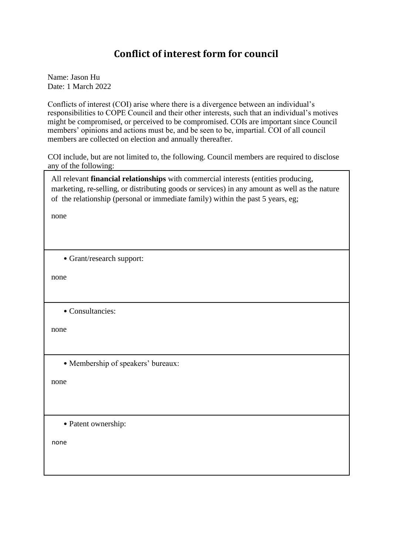## **Conflict of interest form for council**

Name: Jason Hu Date: 1 March 2022

Conflicts of interest (COI) arise where there is a divergence between an individual's responsibilities to COPE Council and their other interests, such that an individual's motives might be compromised, or perceived to be compromised. COIs are important since Council members' opinions and actions must be, and be seen to be, impartial. COI of all council members are collected on election and annually thereafter.

COI include, but are not limited to, the following. Council members are required to disclose any of the following:

All relevant **financial relationships** with commercial interests (entities producing, marketing, re-selling, or distributing goods or services) in any amount as well as the nature of the relationship (personal or immediate family) within the past 5 years, eg;

none

• Grant/research support:

none

• Consultancies:

none

• Membership of speakers' bureaux:

none

• Patent ownership:

none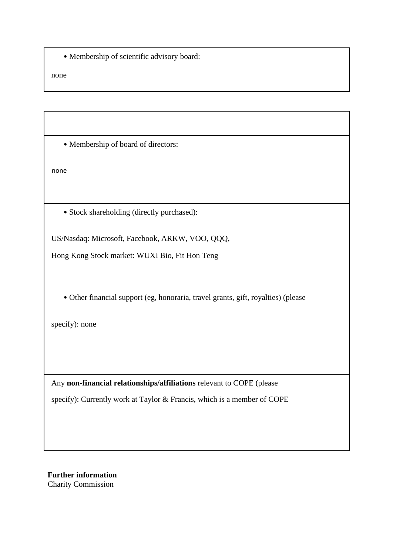• Membership of scientific advisory board:

none

• Membership of board of directors:

none

• Stock shareholding (directly purchased):

US/Nasdaq: Microsoft, Facebook, ARKW, VOO, QQQ,

Hong Kong Stock market: WUXI Bio, Fit Hon Teng

• Other financial support (eg, honoraria, travel grants, gift, royalties) (please

specify): none

Any **non-financial relationships/affiliations** relevant to COPE (please specify): Currently work at Taylor & Francis, which is a member of COPE

**Further information**  Charity Commission